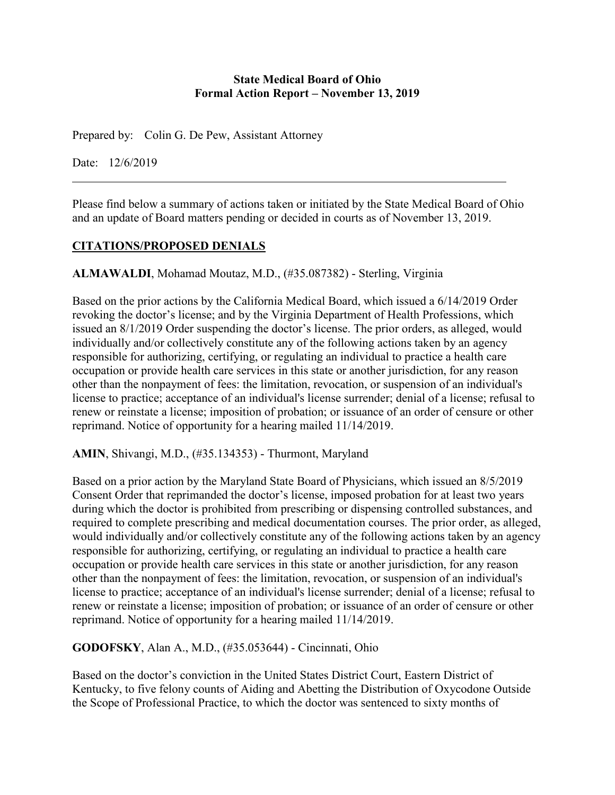#### **State Medical Board of Ohio Formal Action Report – November 13, 2019**

Prepared by: Colin G. De Pew, Assistant Attorney

Date: 12/6/2019

Please find below a summary of actions taken or initiated by the State Medical Board of Ohio and an update of Board matters pending or decided in courts as of November 13, 2019.

# **CITATIONS/PROPOSED DENIALS**

**ALMAWALDI**, Mohamad Moutaz, M.D., (#35.087382) - Sterling, Virginia

Based on the prior actions by the California Medical Board, which issued a 6/14/2019 Order revoking the doctor's license; and by the Virginia Department of Health Professions, which issued an 8/1/2019 Order suspending the doctor's license. The prior orders, as alleged, would individually and/or collectively constitute any of the following actions taken by an agency responsible for authorizing, certifying, or regulating an individual to practice a health care occupation or provide health care services in this state or another jurisdiction, for any reason other than the nonpayment of fees: the limitation, revocation, or suspension of an individual's license to practice; acceptance of an individual's license surrender; denial of a license; refusal to renew or reinstate a license; imposition of probation; or issuance of an order of censure or other reprimand. Notice of opportunity for a hearing mailed 11/14/2019.

**AMIN**, Shivangi, M.D., (#35.134353) - Thurmont, Maryland

Based on a prior action by the Maryland State Board of Physicians, which issued an 8/5/2019 Consent Order that reprimanded the doctor's license, imposed probation for at least two years during which the doctor is prohibited from prescribing or dispensing controlled substances, and required to complete prescribing and medical documentation courses. The prior order, as alleged, would individually and/or collectively constitute any of the following actions taken by an agency responsible for authorizing, certifying, or regulating an individual to practice a health care occupation or provide health care services in this state or another jurisdiction, for any reason other than the nonpayment of fees: the limitation, revocation, or suspension of an individual's license to practice; acceptance of an individual's license surrender; denial of a license; refusal to renew or reinstate a license; imposition of probation; or issuance of an order of censure or other reprimand. Notice of opportunity for a hearing mailed 11/14/2019.

**GODOFSKY**, Alan A., M.D., (#35.053644) - Cincinnati, Ohio

Based on the doctor's conviction in the United States District Court, Eastern District of Kentucky, to five felony counts of Aiding and Abetting the Distribution of Oxycodone Outside the Scope of Professional Practice, to which the doctor was sentenced to sixty months of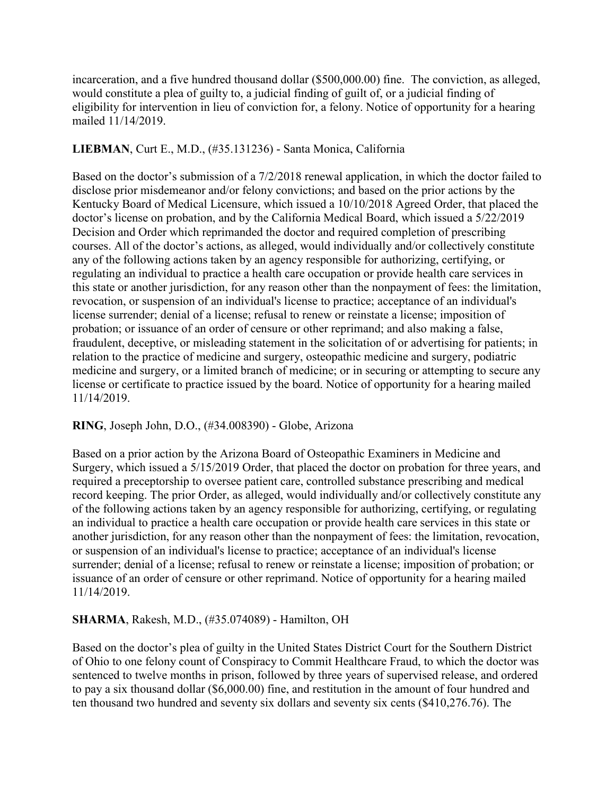incarceration, and a five hundred thousand dollar (\$500,000.00) fine. The conviction, as alleged, would constitute a plea of guilty to, a judicial finding of guilt of, or a judicial finding of eligibility for intervention in lieu of conviction for, a felony. Notice of opportunity for a hearing mailed 11/14/2019.

# **LIEBMAN**, Curt E., M.D., (#35.131236) - Santa Monica, California

Based on the doctor's submission of a 7/2/2018 renewal application, in which the doctor failed to disclose prior misdemeanor and/or felony convictions; and based on the prior actions by the Kentucky Board of Medical Licensure, which issued a 10/10/2018 Agreed Order, that placed the doctor's license on probation, and by the California Medical Board, which issued a 5/22/2019 Decision and Order which reprimanded the doctor and required completion of prescribing courses. All of the doctor's actions, as alleged, would individually and/or collectively constitute any of the following actions taken by an agency responsible for authorizing, certifying, or regulating an individual to practice a health care occupation or provide health care services in this state or another jurisdiction, for any reason other than the nonpayment of fees: the limitation, revocation, or suspension of an individual's license to practice; acceptance of an individual's license surrender; denial of a license; refusal to renew or reinstate a license; imposition of probation; or issuance of an order of censure or other reprimand; and also making a false, fraudulent, deceptive, or misleading statement in the solicitation of or advertising for patients; in relation to the practice of medicine and surgery, osteopathic medicine and surgery, podiatric medicine and surgery, or a limited branch of medicine; or in securing or attempting to secure any license or certificate to practice issued by the board. Notice of opportunity for a hearing mailed 11/14/2019.

# **RING**, Joseph John, D.O., (#34.008390) - Globe, Arizona

Based on a prior action by the Arizona Board of Osteopathic Examiners in Medicine and Surgery, which issued a 5/15/2019 Order, that placed the doctor on probation for three years, and required a preceptorship to oversee patient care, controlled substance prescribing and medical record keeping. The prior Order, as alleged, would individually and/or collectively constitute any of the following actions taken by an agency responsible for authorizing, certifying, or regulating an individual to practice a health care occupation or provide health care services in this state or another jurisdiction, for any reason other than the nonpayment of fees: the limitation, revocation, or suspension of an individual's license to practice; acceptance of an individual's license surrender; denial of a license; refusal to renew or reinstate a license; imposition of probation; or issuance of an order of censure or other reprimand. Notice of opportunity for a hearing mailed 11/14/2019.

# **SHARMA**, Rakesh, M.D., (#35.074089) - Hamilton, OH

Based on the doctor's plea of guilty in the United States District Court for the Southern District of Ohio to one felony count of Conspiracy to Commit Healthcare Fraud, to which the doctor was sentenced to twelve months in prison, followed by three years of supervised release, and ordered to pay a six thousand dollar (\$6,000.00) fine, and restitution in the amount of four hundred and ten thousand two hundred and seventy six dollars and seventy six cents (\$410,276.76). The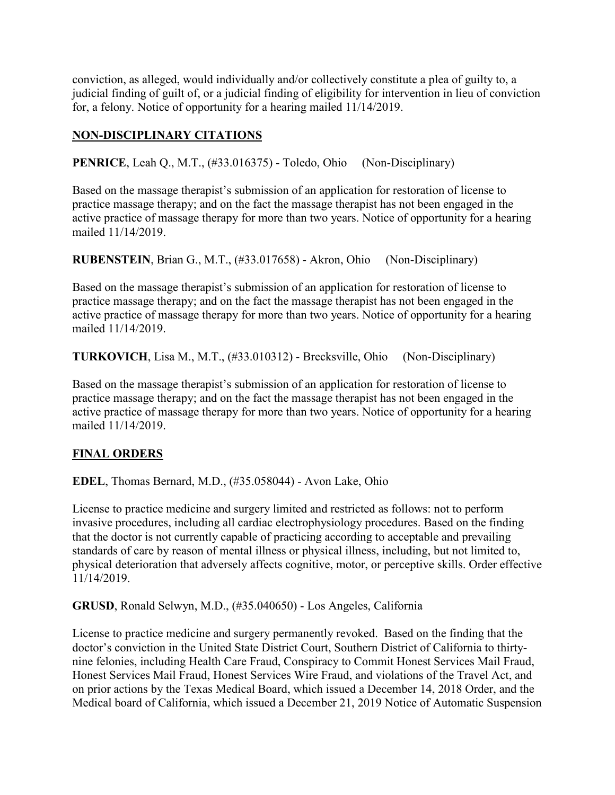conviction, as alleged, would individually and/or collectively constitute a plea of guilty to, a judicial finding of guilt of, or a judicial finding of eligibility for intervention in lieu of conviction for, a felony. Notice of opportunity for a hearing mailed 11/14/2019.

# **NON-DISCIPLINARY CITATIONS**

**PENRICE**, Leah Q., M.T., (#33.016375) - Toledo, Ohio (Non-Disciplinary)

Based on the massage therapist's submission of an application for restoration of license to practice massage therapy; and on the fact the massage therapist has not been engaged in the active practice of massage therapy for more than two years. Notice of opportunity for a hearing mailed 11/14/2019.

**RUBENSTEIN**, Brian G., M.T., (#33.017658) - Akron, Ohio (Non-Disciplinary)

Based on the massage therapist's submission of an application for restoration of license to practice massage therapy; and on the fact the massage therapist has not been engaged in the active practice of massage therapy for more than two years. Notice of opportunity for a hearing mailed 11/14/2019.

**TURKOVICH**, Lisa M., M.T., (#33.010312) - Brecksville, Ohio (Non-Disciplinary)

Based on the massage therapist's submission of an application for restoration of license to practice massage therapy; and on the fact the massage therapist has not been engaged in the active practice of massage therapy for more than two years. Notice of opportunity for a hearing mailed 11/14/2019.

# **FINAL ORDERS**

**EDEL**, Thomas Bernard, M.D., (#35.058044) - Avon Lake, Ohio

License to practice medicine and surgery limited and restricted as follows: not to perform invasive procedures, including all cardiac electrophysiology procedures. Based on the finding that the doctor is not currently capable of practicing according to acceptable and prevailing standards of care by reason of mental illness or physical illness, including, but not limited to, physical deterioration that adversely affects cognitive, motor, or perceptive skills. Order effective 11/14/2019.

**GRUSD**, Ronald Selwyn, M.D., (#35.040650) - Los Angeles, California

License to practice medicine and surgery permanently revoked. Based on the finding that the doctor's conviction in the United State District Court, Southern District of California to thirtynine felonies, including Health Care Fraud, Conspiracy to Commit Honest Services Mail Fraud, Honest Services Mail Fraud, Honest Services Wire Fraud, and violations of the Travel Act, and on prior actions by the Texas Medical Board, which issued a December 14, 2018 Order, and the Medical board of California, which issued a December 21, 2019 Notice of Automatic Suspension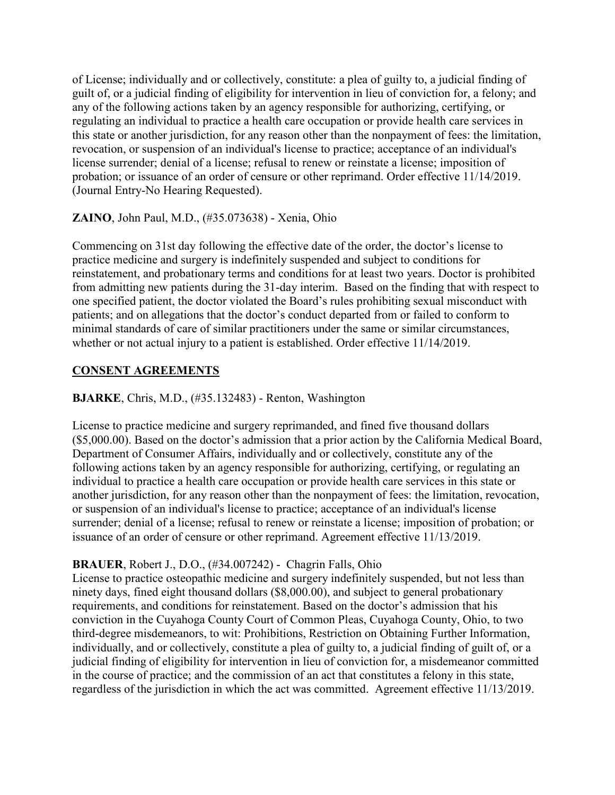of License; individually and or collectively, constitute: a plea of guilty to, a judicial finding of guilt of, or a judicial finding of eligibility for intervention in lieu of conviction for, a felony; and any of the following actions taken by an agency responsible for authorizing, certifying, or regulating an individual to practice a health care occupation or provide health care services in this state or another jurisdiction, for any reason other than the nonpayment of fees: the limitation, revocation, or suspension of an individual's license to practice; acceptance of an individual's license surrender; denial of a license; refusal to renew or reinstate a license; imposition of probation; or issuance of an order of censure or other reprimand. Order effective 11/14/2019. (Journal Entry-No Hearing Requested).

# **ZAINO**, John Paul, M.D., (#35.073638) - Xenia, Ohio

Commencing on 31st day following the effective date of the order, the doctor's license to practice medicine and surgery is indefinitely suspended and subject to conditions for reinstatement, and probationary terms and conditions for at least two years. Doctor is prohibited from admitting new patients during the 31-day interim. Based on the finding that with respect to one specified patient, the doctor violated the Board's rules prohibiting sexual misconduct with patients; and on allegations that the doctor's conduct departed from or failed to conform to minimal standards of care of similar practitioners under the same or similar circumstances, whether or not actual injury to a patient is established. Order effective 11/14/2019.

# **CONSENT AGREEMENTS**

# **BJARKE**, Chris, M.D., (#35.132483) - Renton, Washington

License to practice medicine and surgery reprimanded, and fined five thousand dollars (\$5,000.00). Based on the doctor's admission that a prior action by the California Medical Board, Department of Consumer Affairs, individually and or collectively, constitute any of the following actions taken by an agency responsible for authorizing, certifying, or regulating an individual to practice a health care occupation or provide health care services in this state or another jurisdiction, for any reason other than the nonpayment of fees: the limitation, revocation, or suspension of an individual's license to practice; acceptance of an individual's license surrender; denial of a license; refusal to renew or reinstate a license; imposition of probation; or issuance of an order of censure or other reprimand. Agreement effective 11/13/2019.

# **BRAUER**, Robert J., D.O., (#34.007242) - Chagrin Falls, Ohio

License to practice osteopathic medicine and surgery indefinitely suspended, but not less than ninety days, fined eight thousand dollars (\$8,000.00), and subject to general probationary requirements, and conditions for reinstatement. Based on the doctor's admission that his conviction in the Cuyahoga County Court of Common Pleas, Cuyahoga County, Ohio, to two third-degree misdemeanors, to wit: Prohibitions, Restriction on Obtaining Further Information, individually, and or collectively, constitute a plea of guilty to, a judicial finding of guilt of, or a judicial finding of eligibility for intervention in lieu of conviction for, a misdemeanor committed in the course of practice; and the commission of an act that constitutes a felony in this state, regardless of the jurisdiction in which the act was committed. Agreement effective 11/13/2019.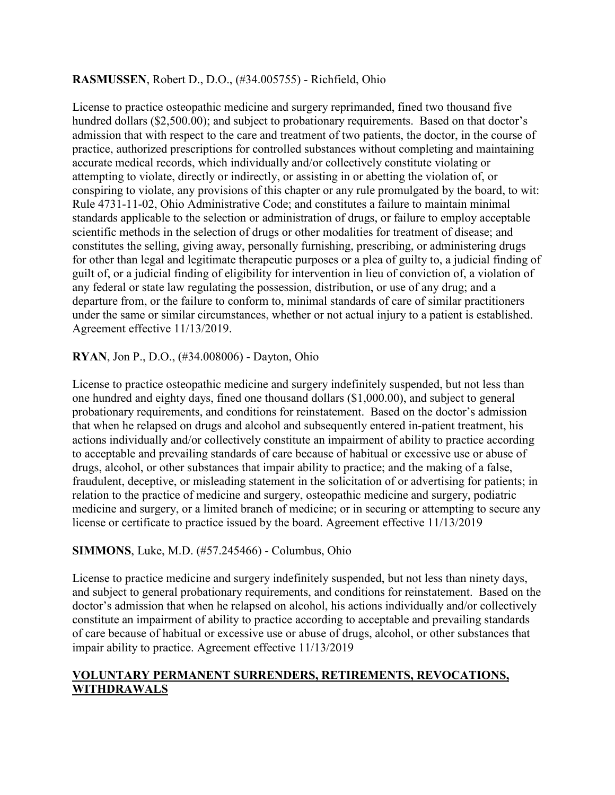# **RASMUSSEN**, Robert D., D.O., (#34.005755) - Richfield, Ohio

License to practice osteopathic medicine and surgery reprimanded, fined two thousand five hundred dollars (\$2,500.00); and subject to probationary requirements. Based on that doctor's admission that with respect to the care and treatment of two patients, the doctor, in the course of practice, authorized prescriptions for controlled substances without completing and maintaining accurate medical records, which individually and/or collectively constitute violating or attempting to violate, directly or indirectly, or assisting in or abetting the violation of, or conspiring to violate, any provisions of this chapter or any rule promulgated by the board, to wit: Rule 4731-11-02, Ohio Administrative Code; and constitutes a failure to maintain minimal standards applicable to the selection or administration of drugs, or failure to employ acceptable scientific methods in the selection of drugs or other modalities for treatment of disease; and constitutes the selling, giving away, personally furnishing, prescribing, or administering drugs for other than legal and legitimate therapeutic purposes or a plea of guilty to, a judicial finding of guilt of, or a judicial finding of eligibility for intervention in lieu of conviction of, a violation of any federal or state law regulating the possession, distribution, or use of any drug; and a departure from, or the failure to conform to, minimal standards of care of similar practitioners under the same or similar circumstances, whether or not actual injury to a patient is established. Agreement effective 11/13/2019.

**RYAN**, Jon P., D.O., (#34.008006) - Dayton, Ohio

License to practice osteopathic medicine and surgery indefinitely suspended, but not less than one hundred and eighty days, fined one thousand dollars (\$1,000.00), and subject to general probationary requirements, and conditions for reinstatement. Based on the doctor's admission that when he relapsed on drugs and alcohol and subsequently entered in-patient treatment, his actions individually and/or collectively constitute an impairment of ability to practice according to acceptable and prevailing standards of care because of habitual or excessive use or abuse of drugs, alcohol, or other substances that impair ability to practice; and the making of a false, fraudulent, deceptive, or misleading statement in the solicitation of or advertising for patients; in relation to the practice of medicine and surgery, osteopathic medicine and surgery, podiatric medicine and surgery, or a limited branch of medicine; or in securing or attempting to secure any license or certificate to practice issued by the board. Agreement effective 11/13/2019

# **SIMMONS**, Luke, M.D. (#57.245466) - Columbus, Ohio

License to practice medicine and surgery indefinitely suspended, but not less than ninety days, and subject to general probationary requirements, and conditions for reinstatement. Based on the doctor's admission that when he relapsed on alcohol, his actions individually and/or collectively constitute an impairment of ability to practice according to acceptable and prevailing standards of care because of habitual or excessive use or abuse of drugs, alcohol, or other substances that impair ability to practice. Agreement effective 11/13/2019

# **VOLUNTARY PERMANENT SURRENDERS, RETIREMENTS, REVOCATIONS, WITHDRAWALS**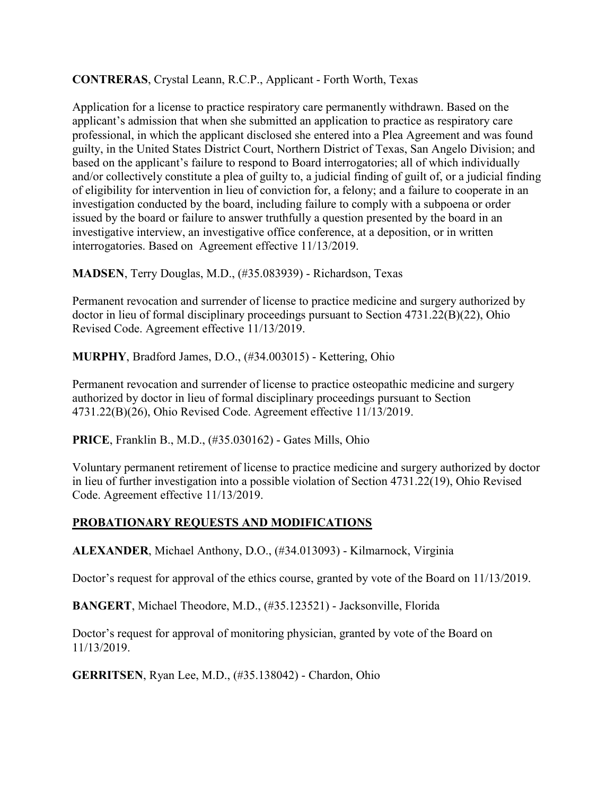# **CONTRERAS**, Crystal Leann, R.C.P., Applicant - Forth Worth, Texas

Application for a license to practice respiratory care permanently withdrawn. Based on the applicant's admission that when she submitted an application to practice as respiratory care professional, in which the applicant disclosed she entered into a Plea Agreement and was found guilty, in the United States District Court, Northern District of Texas, San Angelo Division; and based on the applicant's failure to respond to Board interrogatories; all of which individually and/or collectively constitute a plea of guilty to, a judicial finding of guilt of, or a judicial finding of eligibility for intervention in lieu of conviction for, a felony; and a failure to cooperate in an investigation conducted by the board, including failure to comply with a subpoena or order issued by the board or failure to answer truthfully a question presented by the board in an investigative interview, an investigative office conference, at a deposition, or in written interrogatories. Based on Agreement effective 11/13/2019.

**MADSEN**, Terry Douglas, M.D., (#35.083939) - Richardson, Texas

Permanent revocation and surrender of license to practice medicine and surgery authorized by doctor in lieu of formal disciplinary proceedings pursuant to Section 4731.22(B)(22), Ohio Revised Code. Agreement effective 11/13/2019.

**MURPHY**, Bradford James, D.O., (#34.003015) - Kettering, Ohio

Permanent revocation and surrender of license to practice osteopathic medicine and surgery authorized by doctor in lieu of formal disciplinary proceedings pursuant to Section 4731.22(B)(26), Ohio Revised Code. Agreement effective 11/13/2019.

**PRICE**, Franklin B., M.D., (#35.030162) - Gates Mills, Ohio

Voluntary permanent retirement of license to practice medicine and surgery authorized by doctor in lieu of further investigation into a possible violation of Section 4731.22(19), Ohio Revised Code. Agreement effective 11/13/2019.

# **PROBATIONARY REQUESTS AND MODIFICATIONS**

**ALEXANDER**, Michael Anthony, D.O., (#34.013093) - Kilmarnock, Virginia

Doctor's request for approval of the ethics course, granted by vote of the Board on 11/13/2019.

**BANGERT**, Michael Theodore, M.D., (#35.123521) - Jacksonville, Florida

Doctor's request for approval of monitoring physician, granted by vote of the Board on 11/13/2019.

**GERRITSEN**, Ryan Lee, M.D., (#35.138042) - Chardon, Ohio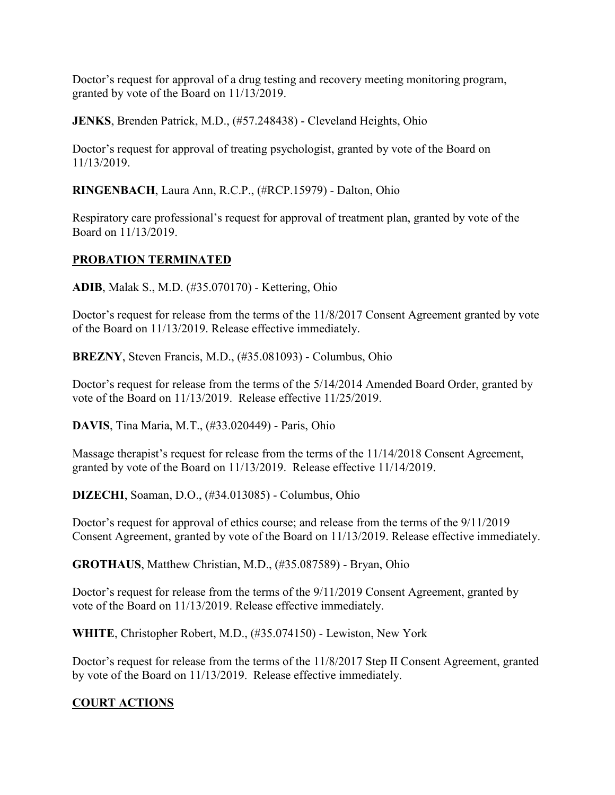Doctor's request for approval of a drug testing and recovery meeting monitoring program, granted by vote of the Board on 11/13/2019.

**JENKS**, Brenden Patrick, M.D., (#57.248438) - Cleveland Heights, Ohio

Doctor's request for approval of treating psychologist, granted by vote of the Board on 11/13/2019.

**RINGENBACH**, Laura Ann, R.C.P., (#RCP.15979) - Dalton, Ohio

Respiratory care professional's request for approval of treatment plan, granted by vote of the Board on 11/13/2019.

# **PROBATION TERMINATED**

**ADIB**, Malak S., M.D. (#35.070170) - Kettering, Ohio

Doctor's request for release from the terms of the 11/8/2017 Consent Agreement granted by vote of the Board on 11/13/2019. Release effective immediately.

**BREZNY**, Steven Francis, M.D., (#35.081093) - Columbus, Ohio

Doctor's request for release from the terms of the 5/14/2014 Amended Board Order, granted by vote of the Board on 11/13/2019. Release effective 11/25/2019.

**DAVIS**, Tina Maria, M.T., (#33.020449) - Paris, Ohio

Massage therapist's request for release from the terms of the 11/14/2018 Consent Agreement, granted by vote of the Board on 11/13/2019. Release effective 11/14/2019.

**DIZECHI**, Soaman, D.O., (#34.013085) - Columbus, Ohio

Doctor's request for approval of ethics course; and release from the terms of the 9/11/2019 Consent Agreement, granted by vote of the Board on 11/13/2019. Release effective immediately.

**GROTHAUS**, Matthew Christian, M.D., (#35.087589) - Bryan, Ohio

Doctor's request for release from the terms of the 9/11/2019 Consent Agreement, granted by vote of the Board on 11/13/2019. Release effective immediately.

**WHITE**, Christopher Robert, M.D., (#35.074150) - Lewiston, New York

Doctor's request for release from the terms of the 11/8/2017 Step II Consent Agreement, granted by vote of the Board on 11/13/2019. Release effective immediately.

# **COURT ACTIONS**